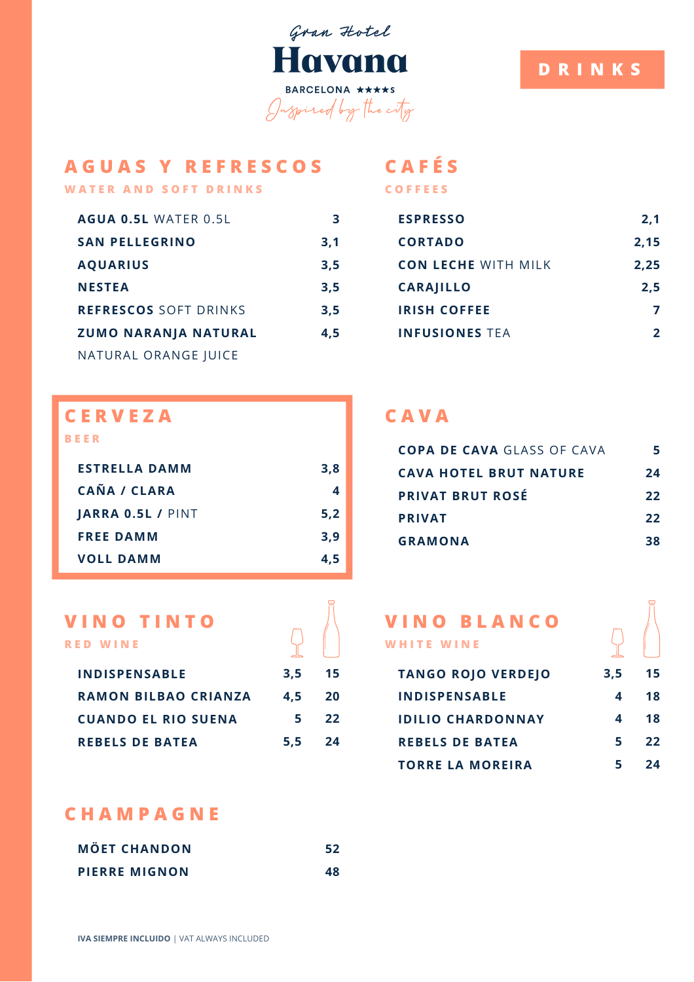

# **D R I N K S**

#### **A G U A S Y R E F R E S C O S C A F É S**

**W A T E R A N D S O F T D R I N K S**

| <b>AGUA 0.5L WATER 0.5L</b>  |     |
|------------------------------|-----|
| <b>SAN PELLEGRINO</b>        | 3,1 |
| <b>AQUARIUS</b>              | 3.5 |
| <b>NESTEA</b>                | 3,5 |
| <b>REFRESCOS SOFT DRINKS</b> | 3.5 |
| <b>ZUMO NARANJA NATURAL</b>  | 4.5 |
| NATURAL ORANGE JUICE         |     |

#### **C E R V E Z A B E E R**

| <b>ESTRELLA DAMM</b> | 3.8 |
|----------------------|-----|
| CAÑA / CLARA         | Д.  |
| JARRA 0.5L / PINT    | 5.2 |
| <b>FREE DAMM</b>     | 3.9 |
| <b>VOLL DAMM</b>     | 4.5 |

# **V I N O T I N T O**

**R E D W I N E**

| <b>INDISPENSABLE</b>        | 3.5      | 15        |
|-----------------------------|----------|-----------|
| <b>RAMON BILBAO CRIANZA</b> | 4.5      | <b>20</b> |
| <b>CUANDO EL RIO SUENA</b>  | 5.       | 22        |
| <b>REBELS DE BATEA</b>      | $5.5$ 24 |           |

 $\sqrt{ }$ 

# **C H A M P A G N E**

| <b>MÖET CHANDON</b>  | 52 |
|----------------------|----|
| <b>PIERRE MIGNON</b> | 48 |

#### **C O F F E E S**

| <b>ESPRESSO</b>            | 2.1  |
|----------------------------|------|
| <b>CORTADO</b>             | 2,15 |
| <b>CON LECHE WITH MILK</b> | 2,25 |
| <b>CARAJILLO</b>           | 2.5  |
| <b>IRISH COFFEE</b>        |      |
| <b>INFUSIONES TEA</b>      |      |

# **C A V A**

| <b>COPA DE CAVA GLASS OF CAVA</b> |    |
|-----------------------------------|----|
| <b>CAVA HOTEL BRUT NATURE</b>     | 24 |
| <b>PRIVAT BRUT ROSÉ</b>           | 22 |
| <b>PRIVAT</b>                     | 22 |
| <b>GRAMONA</b>                    | 38 |

| <b>VINO BLANCO</b><br>WHITE WINE |     |    |
|----------------------------------|-----|----|
| <b>TANGO ROJO VERDEJO</b>        | 3,5 | 15 |
| <b>INDISPENSABLE</b>             | 4   | 18 |
| <b>IDILIO CHARDONNAY</b>         | 4   | 18 |
| <b>REBELS DE BATEA</b>           | 5   | 22 |
| <b>TORRE LA MOREIRA</b>          | 5   | 24 |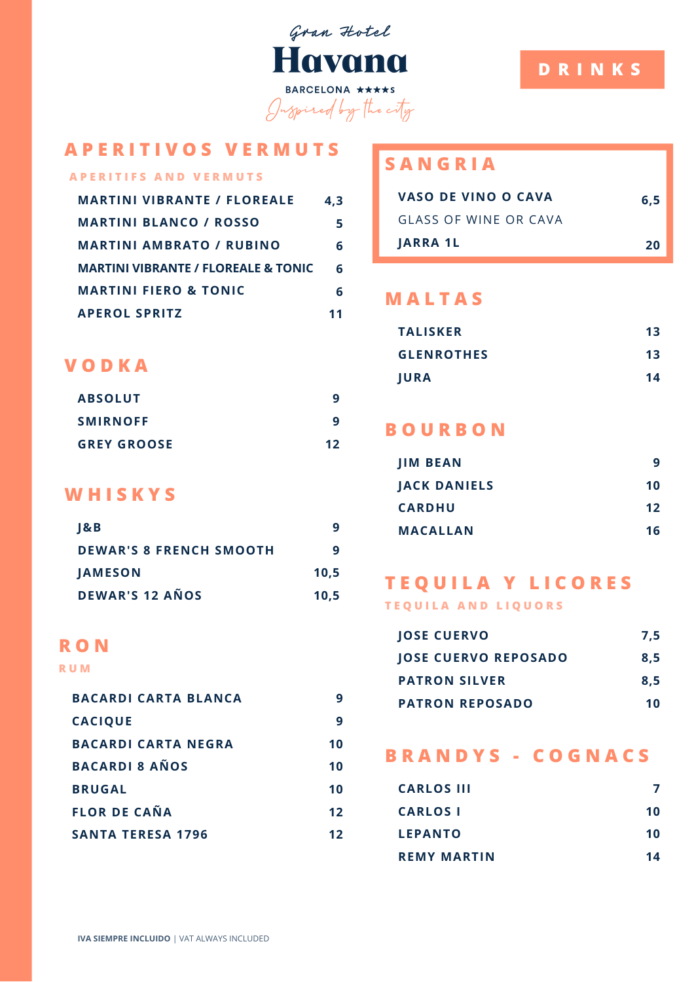

# **D R I N K S**

# **A P E R I T I V O S V E R M U T S**

#### **A P E R I T I F S A N D V E R M U T S**

| <b>MARTINI VIBRANTE / FLOREALE</b>             | 4.3 |
|------------------------------------------------|-----|
| <b>MARTINI BLANCO / ROSSO</b>                  | 5   |
| <b>MARTINI AMBRATO / RUBINO</b>                | 6   |
| <b>MARTINI VIBRANTE / FLOREALE &amp; TONIC</b> | 6   |
| <b>MARTINI FIERO &amp; TONIC</b>               | 6   |
| <b>APEROL SPRITZ</b>                           | 11  |

#### **V O D K A**

| <b>ABSOLUT</b>     |    |
|--------------------|----|
| <b>SMIRNOFF</b>    | q  |
| <b>GREY GROOSE</b> | 12 |

### **W H I S K Y S**

| $\overline{8}$ B               |      |
|--------------------------------|------|
| <b>DEWAR'S 8 FRENCH SMOOTH</b> |      |
| <b>JAMESON</b>                 | 10.5 |
| DEWAR'S 12 AÑOS                | 10.5 |

#### **R O N**

**R U M**

| <b>BACARDI CARTA BLANCA</b> |           |
|-----------------------------|-----------|
| <b>CACIQUE</b>              |           |
| <b>BACARDI CARTA NEGRA</b>  | <b>10</b> |
| <b>BACARDI 8 AÑOS</b>       | 10        |
| <b>BRUGAL</b>               | <b>10</b> |
| <b>FLOR DE CAÑA</b>         | 12        |
| <b>SANTA TERESA 1796</b>    | 12        |

# **S A N G R I A**

| VASO DE VINO O CAVA   | $6.5^{\circ}$ |
|-----------------------|---------------|
| GLASS OF WINE OR CAVA |               |
| JARRA 1L              | 20            |

# **M A L T A S**

| <b>TALISKER</b>   | 13 |
|-------------------|----|
| <b>GLENROTHES</b> | 13 |
| <b>JURA</b>       | 14 |

# **B O U R B O N**

| <b>JIM BEAN</b>     |                 |
|---------------------|-----------------|
| <b>JACK DANIELS</b> | 10              |
| <b>CARDHU</b>       | 12 <sub>2</sub> |
| <b>MACALLAN</b>     | 16              |

# **T E Q U I L A Y L I C O R E S**

**T E Q U I L A A N D L I Q U O R S**

| <b>JOSE CUERVO</b>          | 7.5           |
|-----------------------------|---------------|
| <b>JOSE CUERVO REPOSADO</b> | $8.5^{\circ}$ |
| <b>PATRON SILVER</b>        | 8.5           |
| <b>PATRON REPOSADO</b>      | 10            |

# **B R A N D Y S - C O G N A C S**

| <b>CARLOS III</b>  |    |
|--------------------|----|
| <b>CARLOS I</b>    | 10 |
| <b>LEPANTO</b>     | 10 |
| <b>REMY MARTIN</b> | 14 |